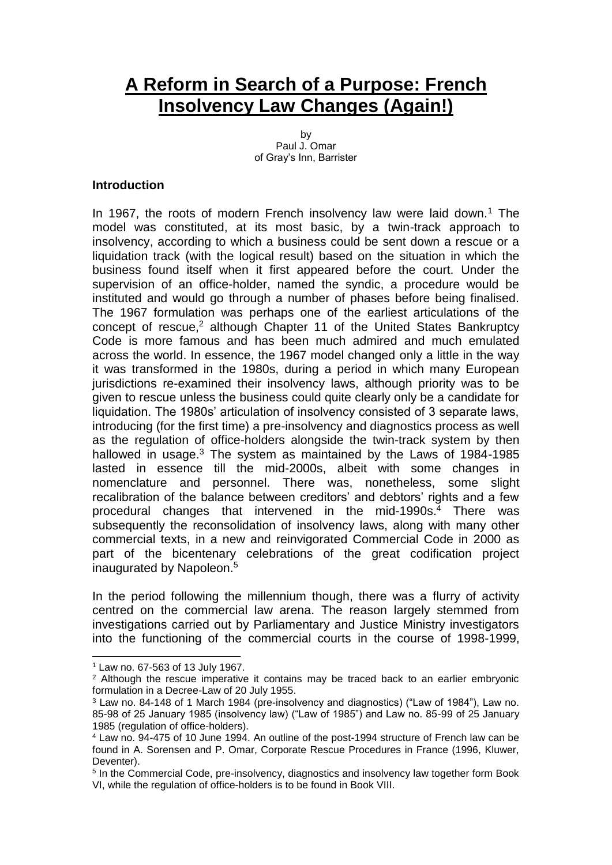# **A Reform in Search of a Purpose: French Insolvency Law Changes (Again!)**

by Paul J. Omar of Gray's Inn, Barrister

## **Introduction**

In 1967, the roots of modern French insolvency law were laid down.<sup>1</sup> The model was constituted, at its most basic, by a twin-track approach to insolvency, according to which a business could be sent down a rescue or a liquidation track (with the logical result) based on the situation in which the business found itself when it first appeared before the court. Under the supervision of an office-holder, named the syndic, a procedure would be instituted and would go through a number of phases before being finalised. The 1967 formulation was perhaps one of the earliest articulations of the concept of rescue,<sup>2</sup> although Chapter 11 of the United States Bankruptcy Code is more famous and has been much admired and much emulated across the world. In essence, the 1967 model changed only a little in the way it was transformed in the 1980s, during a period in which many European jurisdictions re-examined their insolvency laws, although priority was to be given to rescue unless the business could quite clearly only be a candidate for liquidation. The 1980s' articulation of insolvency consisted of 3 separate laws, introducing (for the first time) a pre-insolvency and diagnostics process as well as the regulation of office-holders alongside the twin-track system by then hallowed in usage. $3$  The system as maintained by the Laws of 1984-1985 lasted in essence till the mid-2000s, albeit with some changes in nomenclature and personnel. There was, nonetheless, some slight recalibration of the balance between creditors' and debtors' rights and a few procedural changes that intervened in the mid-1990s. <sup>4</sup> There was subsequently the reconsolidation of insolvency laws, along with many other commercial texts, in a new and reinvigorated Commercial Code in 2000 as part of the bicentenary celebrations of the great codification project inaugurated by Napoleon.<sup>5</sup>

In the period following the millennium though, there was a flurry of activity centred on the commercial law arena. The reason largely stemmed from investigations carried out by Parliamentary and Justice Ministry investigators into the functioning of the commercial courts in the course of 1998-1999,

<sup>1</sup> Law no. 67-563 of 13 July 1967.

<sup>&</sup>lt;sup>2</sup> Although the rescue imperative it contains may be traced back to an earlier embryonic formulation in a Decree-Law of 20 July 1955.

<sup>3</sup> Law no. 84-148 of 1 March 1984 (pre-insolvency and diagnostics) ("Law of 1984"), Law no. 85-98 of 25 January 1985 (insolvency law) ("Law of 1985") and Law no. 85-99 of 25 January 1985 (regulation of office-holders).

<sup>4</sup> Law no. 94-475 of 10 June 1994. An outline of the post-1994 structure of French law can be found in A. Sorensen and P. Omar, Corporate Rescue Procedures in France (1996, Kluwer, Deventer).

<sup>&</sup>lt;sup>5</sup> In the Commercial Code, pre-insolvency, diagnostics and insolvency law together form Book VI, while the regulation of office-holders is to be found in Book VIII.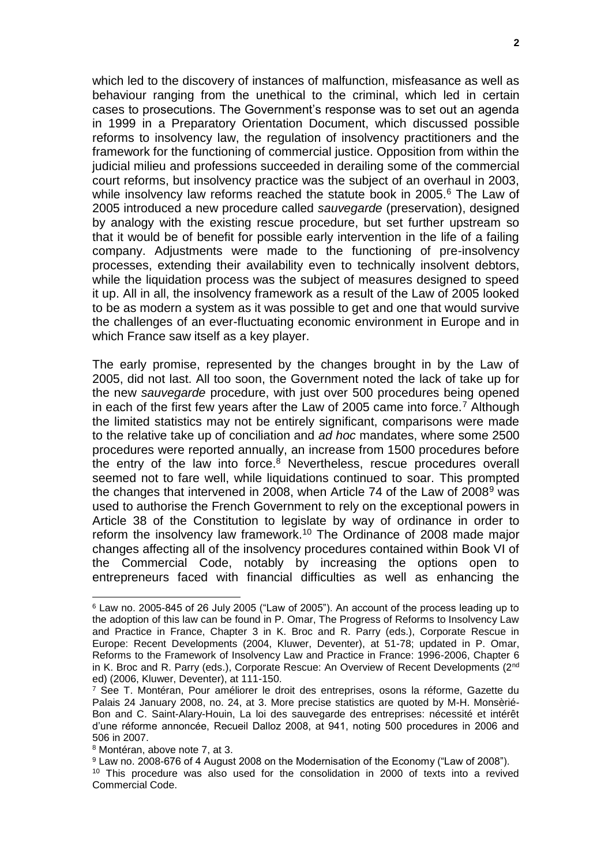which led to the discovery of instances of malfunction, misfeasance as well as behaviour ranging from the unethical to the criminal, which led in certain cases to prosecutions. The Government's response was to set out an agenda in 1999 in a Preparatory Orientation Document, which discussed possible reforms to insolvency law, the regulation of insolvency practitioners and the framework for the functioning of commercial justice. Opposition from within the judicial milieu and professions succeeded in derailing some of the commercial court reforms, but insolvency practice was the subject of an overhaul in 2003, while insolvency law reforms reached the statute book in 2005.<sup>6</sup> The Law of 2005 introduced a new procedure called *sauvegarde* (preservation), designed by analogy with the existing rescue procedure, but set further upstream so that it would be of benefit for possible early intervention in the life of a failing company. Adjustments were made to the functioning of pre-insolvency processes, extending their availability even to technically insolvent debtors, while the liquidation process was the subject of measures designed to speed it up. All in all, the insolvency framework as a result of the Law of 2005 looked to be as modern a system as it was possible to get and one that would survive the challenges of an ever-fluctuating economic environment in Europe and in which France saw itself as a key player.

The early promise, represented by the changes brought in by the Law of 2005, did not last. All too soon, the Government noted the lack of take up for the new *sauvegarde* procedure, with just over 500 procedures being opened in each of the first few years after the Law of 2005 came into force.<sup>7</sup> Although the limited statistics may not be entirely significant, comparisons were made to the relative take up of conciliation and *ad hoc* mandates, where some 2500 procedures were reported annually, an increase from 1500 procedures before the entry of the law into force.<sup>8</sup> Nevertheless, rescue procedures overall seemed not to fare well, while liquidations continued to soar. This prompted the changes that intervened in 2008, when Article 74 of the Law of 2008<sup>9</sup> was used to authorise the French Government to rely on the exceptional powers in Article 38 of the Constitution to legislate by way of ordinance in order to reform the insolvency law framework.<sup>10</sup> The Ordinance of 2008 made major changes affecting all of the insolvency procedures contained within Book VI of the Commercial Code, notably by increasing the options open to entrepreneurs faced with financial difficulties as well as enhancing the

 $6$  Law no. 2005-845 of 26 July 2005 ("Law of 2005"). An account of the process leading up to the adoption of this law can be found in P. Omar, The Progress of Reforms to Insolvency Law and Practice in France, Chapter 3 in K. Broc and R. Parry (eds.), Corporate Rescue in Europe: Recent Developments (2004, Kluwer, Deventer), at 51-78; updated in P. Omar, Reforms to the Framework of Insolvency Law and Practice in France: 1996-2006, Chapter 6 in K. Broc and R. Parry (eds.), Corporate Rescue: An Overview of Recent Developments (2<sup>nd</sup> ed) (2006, Kluwer, Deventer), at 111-150.

<sup>&</sup>lt;sup>7</sup> See T. Montéran, Pour améliorer le droit des entreprises, osons la réforme, Gazette du Palais 24 January 2008, no. 24, at 3. More precise statistics are quoted by M-H. Monsèrié-Bon and C. Saint-Alary-Houin, La loi des sauvegarde des entreprises: nécessité et intérêt d'une réforme annoncée, Recueil Dalloz 2008, at 941, noting 500 procedures in 2006 and 506 in 2007.

<sup>8</sup> Montéran, above note 7, at 3.

<sup>9</sup> Law no. 2008-676 of 4 August 2008 on the Modernisation of the Economy ("Law of 2008").

<sup>10</sup> This procedure was also used for the consolidation in 2000 of texts into a revived Commercial Code.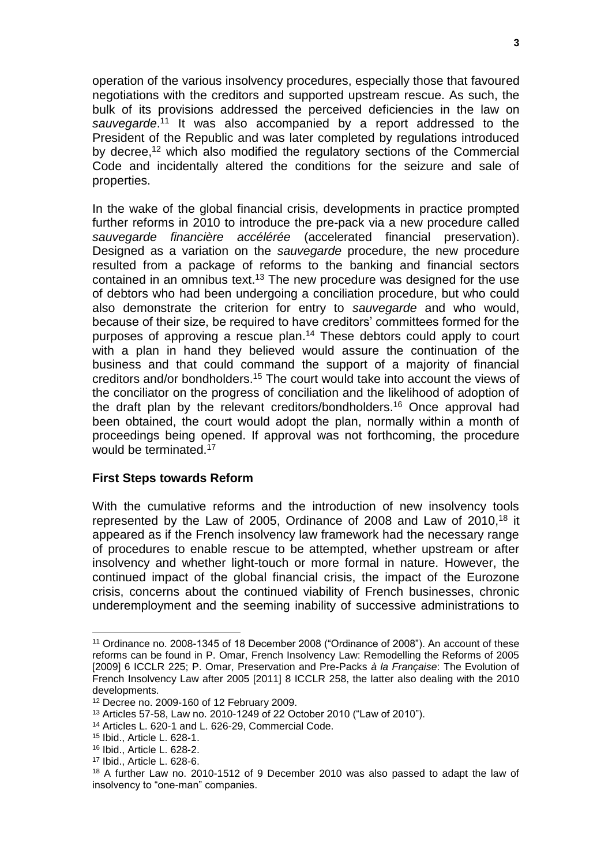operation of the various insolvency procedures, especially those that favoured negotiations with the creditors and supported upstream rescue. As such, the bulk of its provisions addressed the perceived deficiencies in the law on *sauvegarde*. <sup>11</sup> It was also accompanied by a report addressed to the President of the Republic and was later completed by regulations introduced by decree,<sup>12</sup> which also modified the regulatory sections of the Commercial Code and incidentally altered the conditions for the seizure and sale of properties.

In the wake of the global financial crisis, developments in practice prompted further reforms in 2010 to introduce the pre-pack via a new procedure called *sauvegarde financière accélérée* (accelerated financial preservation). Designed as a variation on the *sauvegarde* procedure, the new procedure resulted from a package of reforms to the banking and financial sectors contained in an omnibus text.<sup>13</sup> The new procedure was designed for the use of debtors who had been undergoing a conciliation procedure, but who could also demonstrate the criterion for entry to *sauvegarde* and who would, because of their size, be required to have creditors' committees formed for the purposes of approving a rescue plan. <sup>14</sup> These debtors could apply to court with a plan in hand they believed would assure the continuation of the business and that could command the support of a majority of financial creditors and/or bondholders.<sup>15</sup> The court would take into account the views of the conciliator on the progress of conciliation and the likelihood of adoption of the draft plan by the relevant creditors/bondholders. <sup>16</sup> Once approval had been obtained, the court would adopt the plan, normally within a month of proceedings being opened. If approval was not forthcoming, the procedure would be terminated.<sup>17</sup>

#### **First Steps towards Reform**

With the cumulative reforms and the introduction of new insolvency tools represented by the Law of 2005, Ordinance of 2008 and Law of 2010,<sup>18</sup> it appeared as if the French insolvency law framework had the necessary range of procedures to enable rescue to be attempted, whether upstream or after insolvency and whether light-touch or more formal in nature. However, the continued impact of the global financial crisis, the impact of the Eurozone crisis, concerns about the continued viability of French businesses, chronic underemployment and the seeming inability of successive administrations to

<sup>11</sup> Ordinance no. 2008-1345 of 18 December 2008 ("Ordinance of 2008"). An account of these reforms can be found in P. Omar, French Insolvency Law: Remodelling the Reforms of 2005 [2009] 6 ICCLR 225; P. Omar, Preservation and Pre-Packs *à la Française*: The Evolution of French Insolvency Law after 2005 [2011] 8 ICCLR 258, the latter also dealing with the 2010 developments.

<sup>12</sup> Decree no. 2009-160 of 12 February 2009.

<sup>13</sup> Articles 57-58, Law no. 2010-1249 of 22 October 2010 ("Law of 2010").

<sup>14</sup> Articles L. 620-1 and L. 626-29, Commercial Code.

<sup>15</sup> Ibid., Article L. 628-1.

<sup>16</sup> Ibid., Article L. 628-2.

<sup>17</sup> Ibid., Article L. 628-6.

<sup>18</sup> A further Law no. 2010-1512 of 9 December 2010 was also passed to adapt the law of insolvency to "one-man" companies.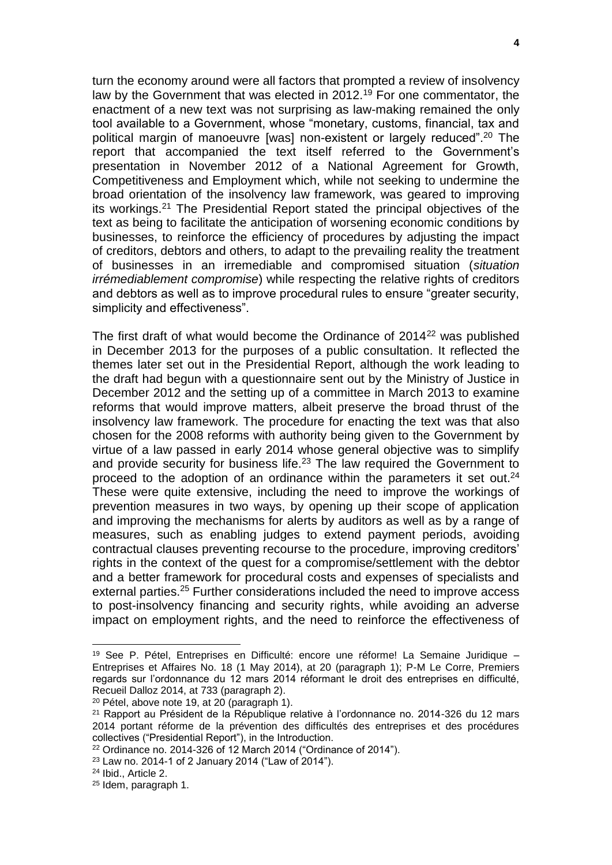turn the economy around were all factors that prompted a review of insolvency law by the Government that was elected in 2012.<sup>19</sup> For one commentator, the enactment of a new text was not surprising as law-making remained the only tool available to a Government, whose "monetary, customs, financial, tax and political margin of manoeuvre [was] non-existent or largely reduced".<sup>20</sup> The report that accompanied the text itself referred to the Government's presentation in November 2012 of a National Agreement for Growth, Competitiveness and Employment which, while not seeking to undermine the broad orientation of the insolvency law framework, was geared to improving its workings.<sup>21</sup> The Presidential Report stated the principal objectives of the text as being to facilitate the anticipation of worsening economic conditions by businesses, to reinforce the efficiency of procedures by adjusting the impact of creditors, debtors and others, to adapt to the prevailing reality the treatment of businesses in an irremediable and compromised situation (*situation irrémediablement compromise*) while respecting the relative rights of creditors and debtors as well as to improve procedural rules to ensure "greater security, simplicity and effectiveness".

The first draft of what would become the Ordinance of 2014<sup>22</sup> was published in December 2013 for the purposes of a public consultation. It reflected the themes later set out in the Presidential Report, although the work leading to the draft had begun with a questionnaire sent out by the Ministry of Justice in December 2012 and the setting up of a committee in March 2013 to examine reforms that would improve matters, albeit preserve the broad thrust of the insolvency law framework. The procedure for enacting the text was that also chosen for the 2008 reforms with authority being given to the Government by virtue of a law passed in early 2014 whose general objective was to simplify and provide security for business life.<sup>23</sup> The law required the Government to proceed to the adoption of an ordinance within the parameters it set out.<sup>24</sup> These were quite extensive, including the need to improve the workings of prevention measures in two ways, by opening up their scope of application and improving the mechanisms for alerts by auditors as well as by a range of measures, such as enabling judges to extend payment periods, avoiding contractual clauses preventing recourse to the procedure, improving creditors' rights in the context of the quest for a compromise/settlement with the debtor and a better framework for procedural costs and expenses of specialists and external parties.<sup>25</sup> Further considerations included the need to improve access to post-insolvency financing and security rights, while avoiding an adverse impact on employment rights, and the need to reinforce the effectiveness of

<sup>20</sup> Pétel, above note 19, at 20 (paragraph 1).

-

<sup>&</sup>lt;sup>19</sup> See P. Pétel, Entreprises en Difficulté: encore une réforme! La Semaine Juridique – Entreprises et Affaires No. 18 (1 May 2014), at 20 (paragraph 1); P-M Le Corre, Premiers regards sur l'ordonnance du 12 mars 2014 réformant le droit des entreprises en difficulté, Recueil Dalloz 2014, at 733 (paragraph 2).

<sup>&</sup>lt;sup>21</sup> Rapport au Président de la République relative à l'ordonnance no. 2014-326 du 12 mars 2014 portant réforme de la prévention des difficultés des entreprises et des procédures collectives ("Presidential Report"), in the Introduction.

<sup>22</sup> Ordinance no. 2014-326 of 12 March 2014 ("Ordinance of 2014").

<sup>23</sup> Law no. 2014-1 of 2 January 2014 ("Law of 2014").

<sup>24</sup> Ibid., Article 2.

<sup>25</sup> Idem, paragraph 1.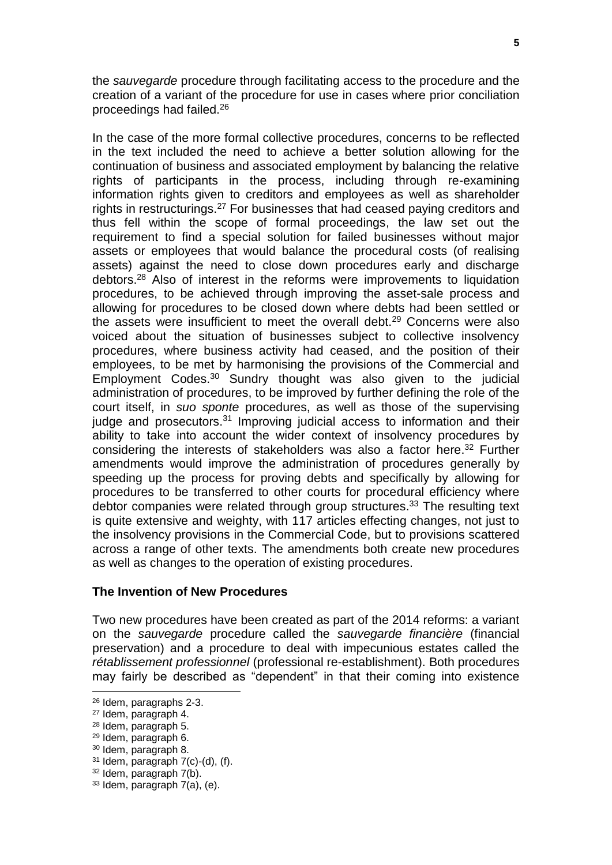the *sauvegarde* procedure through facilitating access to the procedure and the creation of a variant of the procedure for use in cases where prior conciliation proceedings had failed.<sup>26</sup>

In the case of the more formal collective procedures, concerns to be reflected in the text included the need to achieve a better solution allowing for the continuation of business and associated employment by balancing the relative rights of participants in the process, including through re-examining information rights given to creditors and employees as well as shareholder rights in restructurings.<sup>27</sup> For businesses that had ceased paying creditors and thus fell within the scope of formal proceedings, the law set out the requirement to find a special solution for failed businesses without major assets or employees that would balance the procedural costs (of realising assets) against the need to close down procedures early and discharge debtors.<sup>28</sup> Also of interest in the reforms were improvements to liquidation procedures, to be achieved through improving the asset-sale process and allowing for procedures to be closed down where debts had been settled or the assets were insufficient to meet the overall debt.<sup>29</sup> Concerns were also voiced about the situation of businesses subject to collective insolvency procedures, where business activity had ceased, and the position of their employees, to be met by harmonising the provisions of the Commercial and Employment Codes. $30$  Sundry thought was also given to the judicial administration of procedures, to be improved by further defining the role of the court itself, in *suo sponte* procedures, as well as those of the supervising judge and prosecutors.<sup>31</sup> Improving judicial access to information and their ability to take into account the wider context of insolvency procedures by considering the interests of stakeholders was also a factor here. <sup>32</sup> Further amendments would improve the administration of procedures generally by speeding up the process for proving debts and specifically by allowing for procedures to be transferred to other courts for procedural efficiency where debtor companies were related through group structures. <sup>33</sup> The resulting text is quite extensive and weighty, with 117 articles effecting changes, not just to the insolvency provisions in the Commercial Code, but to provisions scattered across a range of other texts. The amendments both create new procedures as well as changes to the operation of existing procedures.

## **The Invention of New Procedures**

Two new procedures have been created as part of the 2014 reforms: a variant on the *sauvegarde* procedure called the *sauvegarde financière* (financial preservation) and a procedure to deal with impecunious estates called the *rétablissement professionnel* (professional re-establishment). Both procedures may fairly be described as "dependent" in that their coming into existence

<sup>26</sup> Idem, paragraphs 2-3.

<sup>27</sup> Idem, paragraph 4.

<sup>28</sup> Idem, paragraph 5.

<sup>29</sup> Idem, paragraph 6.

<sup>30</sup> Idem, paragraph 8.

 $31$  Idem, paragraph  $7(c)-(d)$ , (f).

<sup>32</sup> Idem, paragraph 7(b).

<sup>33</sup> Idem, paragraph 7(a), (e).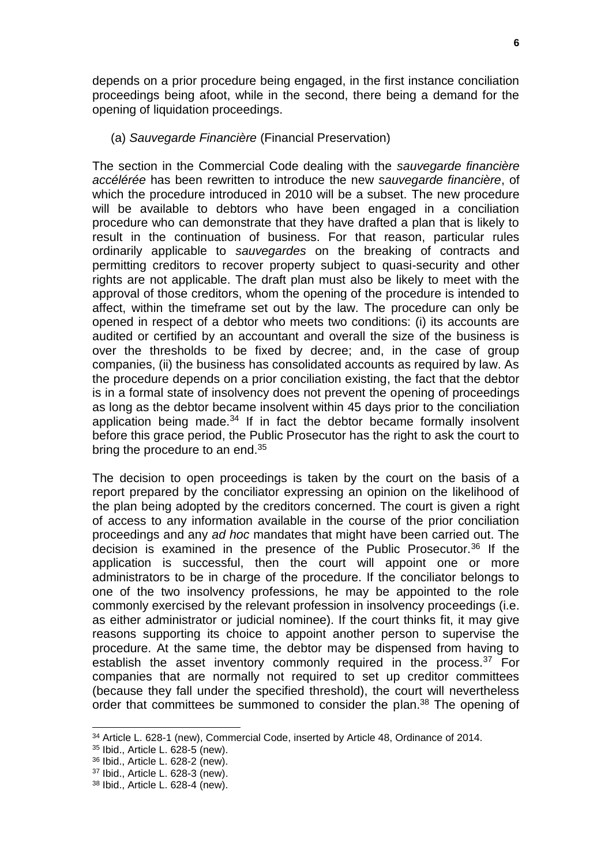depends on a prior procedure being engaged, in the first instance conciliation proceedings being afoot, while in the second, there being a demand for the opening of liquidation proceedings.

#### (a) *Sauvegarde Financière* (Financial Preservation)

The section in the Commercial Code dealing with the *sauvegarde financière accélérée* has been rewritten to introduce the new *sauvegarde financière*, of which the procedure introduced in 2010 will be a subset. The new procedure will be available to debtors who have been engaged in a conciliation procedure who can demonstrate that they have drafted a plan that is likely to result in the continuation of business. For that reason, particular rules ordinarily applicable to *sauvegardes* on the breaking of contracts and permitting creditors to recover property subject to quasi-security and other rights are not applicable. The draft plan must also be likely to meet with the approval of those creditors, whom the opening of the procedure is intended to affect, within the timeframe set out by the law. The procedure can only be opened in respect of a debtor who meets two conditions: (i) its accounts are audited or certified by an accountant and overall the size of the business is over the thresholds to be fixed by decree; and, in the case of group companies, (ii) the business has consolidated accounts as required by law. As the procedure depends on a prior conciliation existing, the fact that the debtor is in a formal state of insolvency does not prevent the opening of proceedings as long as the debtor became insolvent within 45 days prior to the conciliation application being made.<sup>34</sup> If in fact the debtor became formally insolvent before this grace period, the Public Prosecutor has the right to ask the court to bring the procedure to an end.<sup>35</sup>

The decision to open proceedings is taken by the court on the basis of a report prepared by the conciliator expressing an opinion on the likelihood of the plan being adopted by the creditors concerned. The court is given a right of access to any information available in the course of the prior conciliation proceedings and any *ad hoc* mandates that might have been carried out. The decision is examined in the presence of the Public Prosecutor.<sup>36</sup> If the application is successful, then the court will appoint one or more administrators to be in charge of the procedure. If the conciliator belongs to one of the two insolvency professions, he may be appointed to the role commonly exercised by the relevant profession in insolvency proceedings (i.e. as either administrator or judicial nominee). If the court thinks fit, it may give reasons supporting its choice to appoint another person to supervise the procedure. At the same time, the debtor may be dispensed from having to establish the asset inventory commonly required in the process.<sup>37</sup> For companies that are normally not required to set up creditor committees (because they fall under the specified threshold), the court will nevertheless order that committees be summoned to consider the plan.<sup>38</sup> The opening of

<sup>34</sup> Article L. 628-1 (new), Commercial Code, inserted by Article 48, Ordinance of 2014.

<sup>35</sup> Ibid., Article L. 628-5 (new).

<sup>36</sup> Ibid., Article L. 628-2 (new).

<sup>37</sup> Ibid., Article L. 628-3 (new).

<sup>38</sup> Ibid., Article L. 628-4 (new).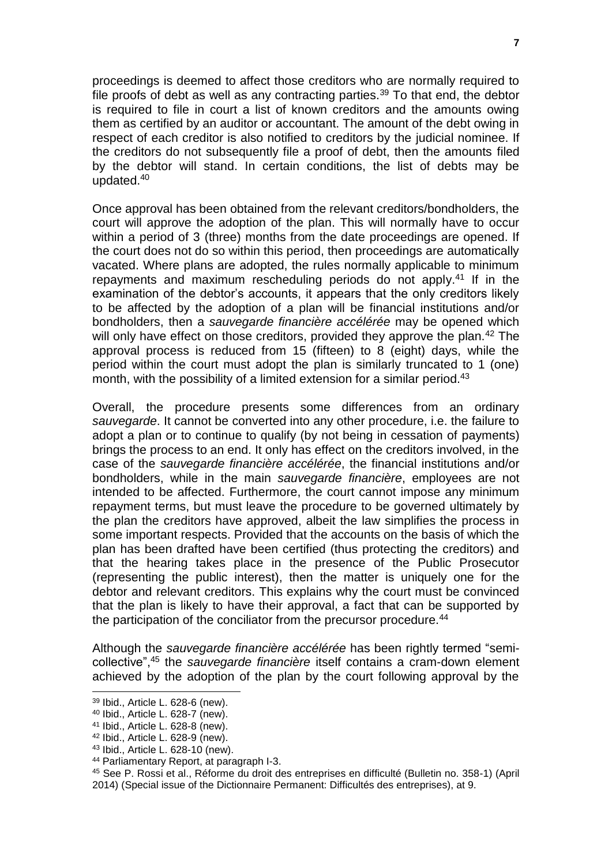proceedings is deemed to affect those creditors who are normally required to file proofs of debt as well as any contracting parties.<sup>39</sup> To that end, the debtor is required to file in court a list of known creditors and the amounts owing them as certified by an auditor or accountant. The amount of the debt owing in respect of each creditor is also notified to creditors by the judicial nominee. If the creditors do not subsequently file a proof of debt, then the amounts filed by the debtor will stand. In certain conditions, the list of debts may be updated.<sup>40</sup>

Once approval has been obtained from the relevant creditors/bondholders, the court will approve the adoption of the plan. This will normally have to occur within a period of 3 (three) months from the date proceedings are opened. If the court does not do so within this period, then proceedings are automatically vacated. Where plans are adopted, the rules normally applicable to minimum repayments and maximum rescheduling periods do not apply.<sup>41</sup> If in the examination of the debtor's accounts, it appears that the only creditors likely to be affected by the adoption of a plan will be financial institutions and/or bondholders, then a *sauvegarde financière accélérée* may be opened which will only have effect on those creditors, provided they approve the plan.<sup>42</sup> The approval process is reduced from 15 (fifteen) to 8 (eight) days, while the period within the court must adopt the plan is similarly truncated to 1 (one) month, with the possibility of a limited extension for a similar period.<sup>43</sup>

Overall, the procedure presents some differences from an ordinary *sauvegarde*. It cannot be converted into any other procedure, i.e. the failure to adopt a plan or to continue to qualify (by not being in cessation of payments) brings the process to an end. It only has effect on the creditors involved, in the case of the *sauvegarde financière accélérée*, the financial institutions and/or bondholders, while in the main *sauvegarde financière*, employees are not intended to be affected. Furthermore, the court cannot impose any minimum repayment terms, but must leave the procedure to be governed ultimately by the plan the creditors have approved, albeit the law simplifies the process in some important respects. Provided that the accounts on the basis of which the plan has been drafted have been certified (thus protecting the creditors) and that the hearing takes place in the presence of the Public Prosecutor (representing the public interest), then the matter is uniquely one for the debtor and relevant creditors. This explains why the court must be convinced that the plan is likely to have their approval, a fact that can be supported by the participation of the conciliator from the precursor procedure.<sup>44</sup>

Although the *sauvegarde financière accélérée* has been rightly termed "semicollective",<sup>45</sup> the *sauvegarde financière* itself contains a cram-down element achieved by the adoption of the plan by the court following approval by the

<sup>39</sup> Ibid., Article L. 628-6 (new).

<sup>40</sup> Ibid., Article L. 628-7 (new).

<sup>41</sup> Ibid., Article L. 628-8 (new).

<sup>42</sup> Ibid., Article L. 628-9 (new).

<sup>43</sup> Ibid., Article L. 628-10 (new).

<sup>44</sup> Parliamentary Report, at paragraph I-3.

<sup>45</sup> See P. Rossi et al., Réforme du droit des entreprises en difficulté (Bulletin no. 358-1) (April 2014) (Special issue of the Dictionnaire Permanent: Difficultés des entreprises), at 9.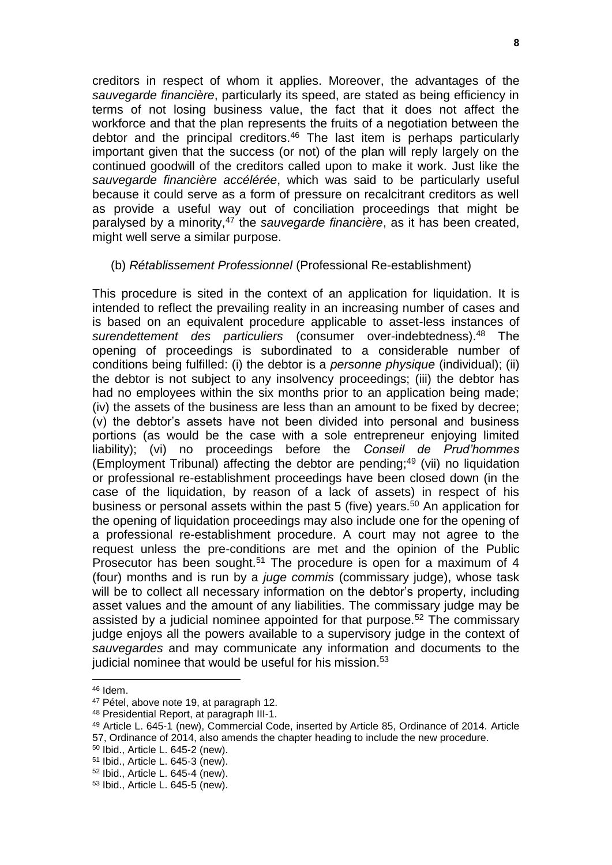creditors in respect of whom it applies. Moreover, the advantages of the *sauvegarde financière*, particularly its speed, are stated as being efficiency in terms of not losing business value, the fact that it does not affect the workforce and that the plan represents the fruits of a negotiation between the debtor and the principal creditors.<sup>46</sup> The last item is perhaps particularly important given that the success (or not) of the plan will reply largely on the continued goodwill of the creditors called upon to make it work. Just like the *sauvegarde financière accélérée*, which was said to be particularly useful because it could serve as a form of pressure on recalcitrant creditors as well as provide a useful way out of conciliation proceedings that might be paralysed by a minority,<sup>47</sup> the *sauvegarde financière*, as it has been created, might well serve a similar purpose.

## (b) *Rétablissement Professionnel* (Professional Re-establishment)

This procedure is sited in the context of an application for liquidation. It is intended to reflect the prevailing reality in an increasing number of cases and is based on an equivalent procedure applicable to asset-less instances of *surendettement des particuliers* (consumer over-indebtedness).<sup>48</sup> The opening of proceedings is subordinated to a considerable number of conditions being fulfilled: (i) the debtor is a *personne physique* (individual); (ii) the debtor is not subject to any insolvency proceedings; (iii) the debtor has had no employees within the six months prior to an application being made; (iv) the assets of the business are less than an amount to be fixed by decree; (v) the debtor's assets have not been divided into personal and business portions (as would be the case with a sole entrepreneur enjoying limited liability); (vi) no proceedings before the *Conseil de Prud'hommes* (Employment Tribunal) affecting the debtor are pending; $49$  (vii) no liquidation or professional re-establishment proceedings have been closed down (in the case of the liquidation, by reason of a lack of assets) in respect of his business or personal assets within the past  $5$  (five) years.<sup>50</sup> An application for the opening of liquidation proceedings may also include one for the opening of a professional re-establishment procedure. A court may not agree to the request unless the pre-conditions are met and the opinion of the Public Prosecutor has been sought.<sup>51</sup> The procedure is open for a maximum of 4 (four) months and is run by a *juge commis* (commissary judge), whose task will be to collect all necessary information on the debtor's property, including asset values and the amount of any liabilities. The commissary judge may be assisted by a judicial nominee appointed for that purpose.<sup>52</sup> The commissary judge enjoys all the powers available to a supervisory judge in the context of *sauvegardes* and may communicate any information and documents to the judicial nominee that would be useful for his mission.<sup>53</sup>

l

<sup>50</sup> Ibid., Article L. 645-2 (new).

<sup>46</sup> Idem.

<sup>47</sup> Pétel, above note 19, at paragraph 12.

<sup>48</sup> Presidential Report, at paragraph III-1.

<sup>49</sup> Article L. 645-1 (new), Commercial Code, inserted by Article 85, Ordinance of 2014. Article 57, Ordinance of 2014, also amends the chapter heading to include the new procedure.

<sup>51</sup> Ibid., Article L. 645-3 (new).

<sup>52</sup> Ibid., Article L. 645-4 (new).

<sup>53</sup> Ibid., Article L. 645-5 (new).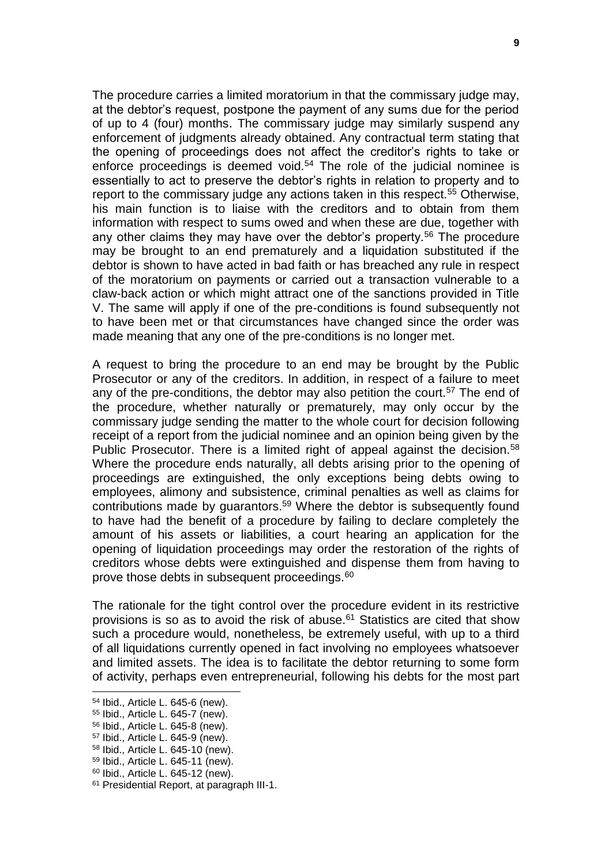The procedure carries a limited moratorium in that the commissary judge may, at the debtor's request, postpone the payment of any sums due for the period of up to 4 (four) months. The commissary judge may similarly suspend any enforcement of judgments already obtained. Any contractual term stating that the opening of proceedings does not affect the creditor's rights to take or enforce proceedings is deemed void.<sup>54</sup> The role of the judicial nominee is essentially to act to preserve the debtor's rights in relation to property and to report to the commissary judge any actions taken in this respect.<sup>55</sup> Otherwise, his main function is to liaise with the creditors and to obtain from them information with respect to sums owed and when these are due, together with any other claims they may have over the debtor's property.<sup>56</sup> The procedure may be brought to an end prematurely and a liquidation substituted if the debtor is shown to have acted in bad faith or has breached any rule in respect of the moratorium on payments or carried out a transaction vulnerable to a claw-back action or which might attract one of the sanctions provided in Title V. The same will apply if one of the pre-conditions is found subsequently not to have been met or that circumstances have changed since the order was made meaning that any one of the pre-conditions is no longer met.

A request to bring the procedure to an end may be brought by the Public Prosecutor or any of the creditors. In addition, in respect of a failure to meet any of the pre-conditions, the debtor may also petition the court.<sup>57</sup> The end of the procedure, whether naturally or prematurely, may only occur by the commissary judge sending the matter to the whole court for decision following receipt of a report from the judicial nominee and an opinion being given by the Public Prosecutor. There is a limited right of appeal against the decision.<sup>58</sup> Where the procedure ends naturally, all debts arising prior to the opening of proceedings are extinguished, the only exceptions being debts owing to employees, alimony and subsistence, criminal penalties as well as claims for contributions made by guarantors.<sup>59</sup> Where the debtor is subsequently found to have had the benefit of a procedure by failing to declare completely the amount of his assets or liabilities, a court hearing an application for the opening of liquidation proceedings may order the restoration of the rights of creditors whose debts were extinguished and dispense them from having to prove those debts in subsequent proceedings.<sup>60</sup>

The rationale for the tight control over the procedure evident in its restrictive provisions is so as to avoid the risk of abuse. $61$  Statistics are cited that show such a procedure would, nonetheless, be extremely useful, with up to a third of all liquidations currently opened in fact involving no employees whatsoever and limited assets. The idea is to facilitate the debtor returning to some form of activity, perhaps even entrepreneurial, following his debts for the most part

l

<sup>57</sup> Ibid., Article L. 645-9 (new).

<sup>54</sup> Ibid., Article L. 645-6 (new).

<sup>55</sup> Ibid., Article L. 645-7 (new).

<sup>56</sup> Ibid., Article L. 645-8 (new).

<sup>58</sup> Ibid., Article L. 645-10 (new).

<sup>59</sup> Ibid., Article L. 645-11 (new).

<sup>60</sup> Ibid., Article L. 645-12 (new).

<sup>61</sup> Presidential Report, at paragraph III-1.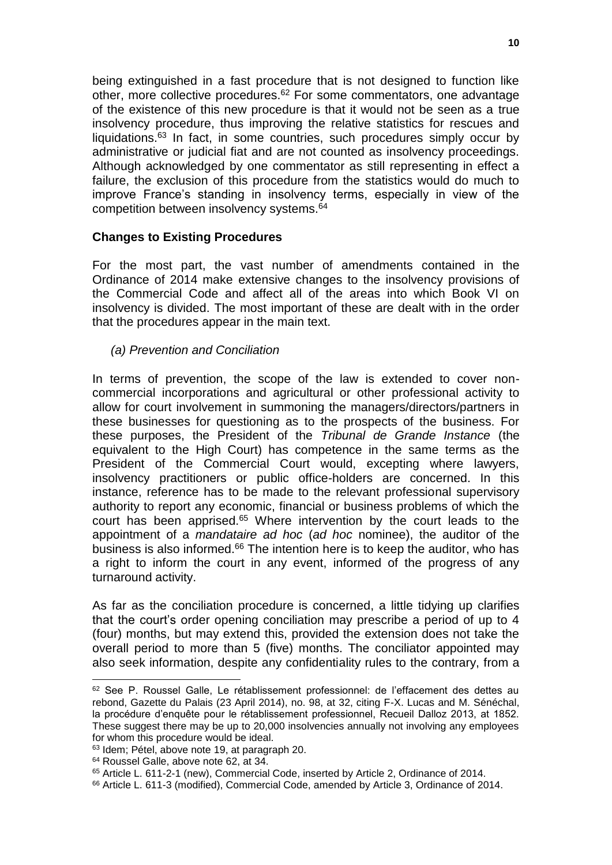being extinguished in a fast procedure that is not designed to function like other, more collective procedures.<sup>62</sup> For some commentators, one advantage of the existence of this new procedure is that it would not be seen as a true insolvency procedure, thus improving the relative statistics for rescues and liquidations.<sup>63</sup> In fact, in some countries, such procedures simply occur by administrative or judicial fiat and are not counted as insolvency proceedings. Although acknowledged by one commentator as still representing in effect a failure, the exclusion of this procedure from the statistics would do much to improve France's standing in insolvency terms, especially in view of the competition between insolvency systems.<sup>64</sup>

# **Changes to Existing Procedures**

For the most part, the vast number of amendments contained in the Ordinance of 2014 make extensive changes to the insolvency provisions of the Commercial Code and affect all of the areas into which Book VI on insolvency is divided. The most important of these are dealt with in the order that the procedures appear in the main text.

# *(a) Prevention and Conciliation*

In terms of prevention, the scope of the law is extended to cover noncommercial incorporations and agricultural or other professional activity to allow for court involvement in summoning the managers/directors/partners in these businesses for questioning as to the prospects of the business. For these purposes, the President of the *Tribunal de Grande Instance* (the equivalent to the High Court) has competence in the same terms as the President of the Commercial Court would, excepting where lawyers, insolvency practitioners or public office-holders are concerned. In this instance, reference has to be made to the relevant professional supervisory authority to report any economic, financial or business problems of which the court has been apprised.<sup>65</sup> Where intervention by the court leads to the appointment of a *mandataire ad hoc* (*ad hoc* nominee), the auditor of the business is also informed.<sup>66</sup> The intention here is to keep the auditor, who has a right to inform the court in any event, informed of the progress of any turnaround activity.

As far as the conciliation procedure is concerned, a little tidying up clarifies that the court's order opening conciliation may prescribe a period of up to 4 (four) months, but may extend this, provided the extension does not take the overall period to more than 5 (five) months. The conciliator appointed may also seek information, despite any confidentiality rules to the contrary, from a

<sup>62</sup> See P. Roussel Galle, Le rétablissement professionnel: de l'effacement des dettes au rebond, Gazette du Palais (23 April 2014), no. 98, at 32, citing F-X. Lucas and M. Sénéchal, la procédure d'enquête pour le rétablissement professionnel, Recueil Dalloz 2013, at 1852. These suggest there may be up to 20,000 insolvencies annually not involving any employees for whom this procedure would be ideal.

<sup>63</sup> Idem; Pétel, above note 19, at paragraph 20.

<sup>64</sup> Roussel Galle, above note 62, at 34.

<sup>65</sup> Article L. 611-2-1 (new), Commercial Code, inserted by Article 2, Ordinance of 2014.

<sup>66</sup> Article L. 611-3 (modified), Commercial Code, amended by Article 3, Ordinance of 2014.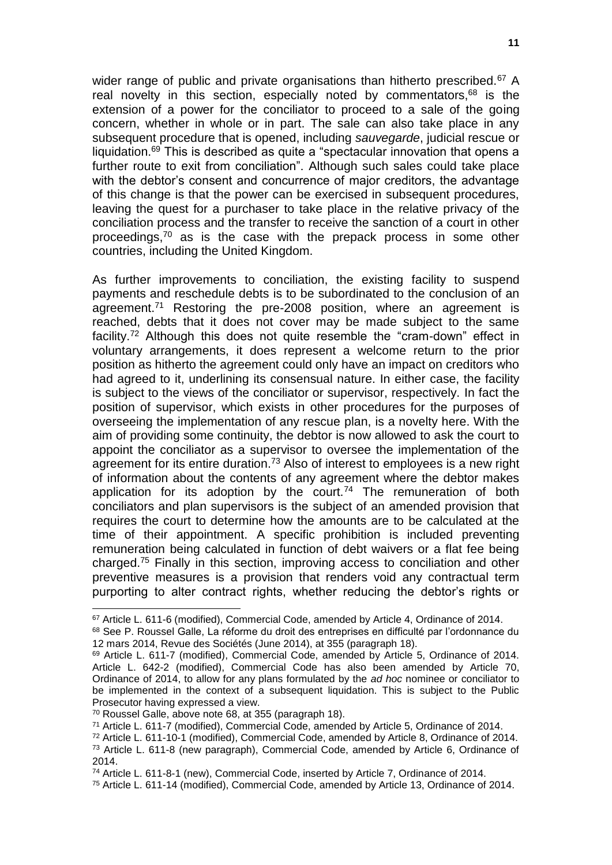wider range of public and private organisations than hitherto prescribed.<sup>67</sup> A real novelty in this section, especially noted by commentators, $68$  is the extension of a power for the conciliator to proceed to a sale of the going concern, whether in whole or in part. The sale can also take place in any subsequent procedure that is opened, including *sauvegarde*, judicial rescue or liquidation. $69$  This is described as quite a "spectacular innovation that opens a further route to exit from conciliation". Although such sales could take place with the debtor's consent and concurrence of major creditors, the advantage of this change is that the power can be exercised in subsequent procedures, leaving the quest for a purchaser to take place in the relative privacy of the conciliation process and the transfer to receive the sanction of a court in other proceedings, $70$  as is the case with the prepack process in some other countries, including the United Kingdom.

As further improvements to conciliation, the existing facility to suspend payments and reschedule debts is to be subordinated to the conclusion of an agreement.<sup>71</sup> Restoring the pre-2008 position, where an agreement is reached, debts that it does not cover may be made subject to the same facility.<sup>72</sup> Although this does not quite resemble the "cram-down" effect in voluntary arrangements, it does represent a welcome return to the prior position as hitherto the agreement could only have an impact on creditors who had agreed to it, underlining its consensual nature. In either case, the facility is subject to the views of the conciliator or supervisor, respectively. In fact the position of supervisor, which exists in other procedures for the purposes of overseeing the implementation of any rescue plan, is a novelty here. With the aim of providing some continuity, the debtor is now allowed to ask the court to appoint the conciliator as a supervisor to oversee the implementation of the agreement for its entire duration.<sup>73</sup> Also of interest to employees is a new right of information about the contents of any agreement where the debtor makes application for its adoption by the court.<sup>74</sup> The remuneration of both conciliators and plan supervisors is the subject of an amended provision that requires the court to determine how the amounts are to be calculated at the time of their appointment. A specific prohibition is included preventing remuneration being calculated in function of debt waivers or a flat fee being charged.<sup>75</sup> Finally in this section, improving access to conciliation and other preventive measures is a provision that renders void any contractual term purporting to alter contract rights, whether reducing the debtor's rights or

-

<sup>67</sup> Article L. 611-6 (modified), Commercial Code, amended by Article 4, Ordinance of 2014.

<sup>&</sup>lt;sup>68</sup> See P. Roussel Galle, La réforme du droit des entreprises en difficulté par l'ordonnance du 12 mars 2014, Revue des Sociétés (June 2014), at 355 (paragraph 18).

<sup>69</sup> Article L. 611-7 (modified), Commercial Code, amended by Article 5, Ordinance of 2014. Article L. 642-2 (modified), Commercial Code has also been amended by Article 70, Ordinance of 2014, to allow for any plans formulated by the *ad hoc* nominee or conciliator to be implemented in the context of a subsequent liquidation. This is subject to the Public Prosecutor having expressed a view.

<sup>70</sup> Roussel Galle, above note 68, at 355 (paragraph 18).

<sup>71</sup> Article L. 611-7 (modified), Commercial Code, amended by Article 5, Ordinance of 2014.

<sup>72</sup> Article L. 611-10-1 (modified), Commercial Code, amended by Article 8, Ordinance of 2014. <sup>73</sup> Article L. 611-8 (new paragraph), Commercial Code, amended by Article 6, Ordinance of 2014.

<sup>74</sup> Article L. 611-8-1 (new), Commercial Code, inserted by Article 7, Ordinance of 2014.

<sup>75</sup> Article L. 611-14 (modified), Commercial Code, amended by Article 13, Ordinance of 2014.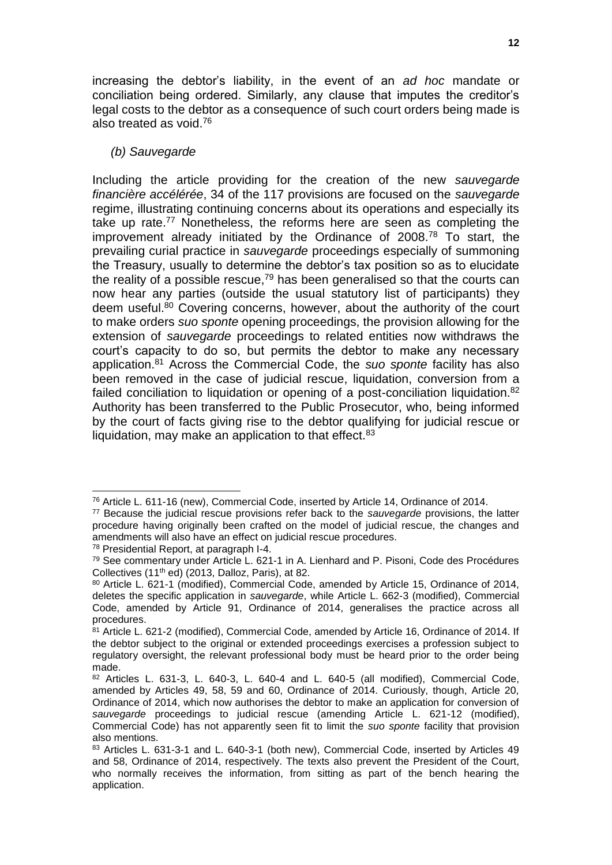increasing the debtor's liability, in the event of an *ad hoc* mandate or conciliation being ordered. Similarly, any clause that imputes the creditor's legal costs to the debtor as a consequence of such court orders being made is also treated as void.<sup>76</sup>

## *(b) Sauvegarde*

Including the article providing for the creation of the new *sauvegarde financière accélérée*, 34 of the 117 provisions are focused on the *sauvegarde* regime, illustrating continuing concerns about its operations and especially its take up rate.<sup>77</sup> Nonetheless, the reforms here are seen as completing the improvement already initiated by the Ordinance of 2008.<sup>78</sup> To start, the prevailing curial practice in *sauvegarde* proceedings especially of summoning the Treasury, usually to determine the debtor's tax position so as to elucidate the reality of a possible rescue,  $79$  has been generalised so that the courts can now hear any parties (outside the usual statutory list of participants) they deem useful. <sup>80</sup> Covering concerns, however, about the authority of the court to make orders *suo sponte* opening proceedings, the provision allowing for the extension of *sauvegarde* proceedings to related entities now withdraws the court's capacity to do so, but permits the debtor to make any necessary application.<sup>81</sup> Across the Commercial Code, the *suo sponte* facility has also been removed in the case of judicial rescue, liquidation, conversion from a failed conciliation to liquidation or opening of a post-conciliation liquidation.<sup>82</sup> Authority has been transferred to the Public Prosecutor, who, being informed by the court of facts giving rise to the debtor qualifying for judicial rescue or liquidation, may make an application to that effect. $83$ 

j

 $^{76}$  Article L. 611-16 (new), Commercial Code, inserted by Article 14, Ordinance of 2014.

<sup>77</sup> Because the judicial rescue provisions refer back to the *sauvegarde* provisions, the latter procedure having originally been crafted on the model of judicial rescue, the changes and amendments will also have an effect on judicial rescue procedures.

<sup>78</sup> Presidential Report, at paragraph I-4.

<sup>79</sup> See commentary under Article L. 621-1 in A. Lienhard and P. Pisoni, Code des Procédures Collectives (11th ed) (2013, Dalloz, Paris), at 82.

<sup>80</sup> Article L. 621-1 (modified), Commercial Code, amended by Article 15, Ordinance of 2014, deletes the specific application in *sauvegarde*, while Article L. 662-3 (modified), Commercial Code, amended by Article 91, Ordinance of 2014, generalises the practice across all procedures.

<sup>81</sup> Article L. 621-2 (modified), Commercial Code, amended by Article 16, Ordinance of 2014. If the debtor subject to the original or extended proceedings exercises a profession subject to regulatory oversight, the relevant professional body must be heard prior to the order being made.

<sup>82</sup> Articles L. 631-3, L. 640-3, L. 640-4 and L. 640-5 (all modified), Commercial Code, amended by Articles 49, 58, 59 and 60, Ordinance of 2014. Curiously, though, Article 20, Ordinance of 2014, which now authorises the debtor to make an application for conversion of *sauvegarde* proceedings to judicial rescue (amending Article L. 621-12 (modified), Commercial Code) has not apparently seen fit to limit the *suo sponte* facility that provision also mentions.

<sup>83</sup> Articles L. 631-3-1 and L. 640-3-1 (both new), Commercial Code, inserted by Articles 49 and 58, Ordinance of 2014, respectively. The texts also prevent the President of the Court, who normally receives the information, from sitting as part of the bench hearing the application.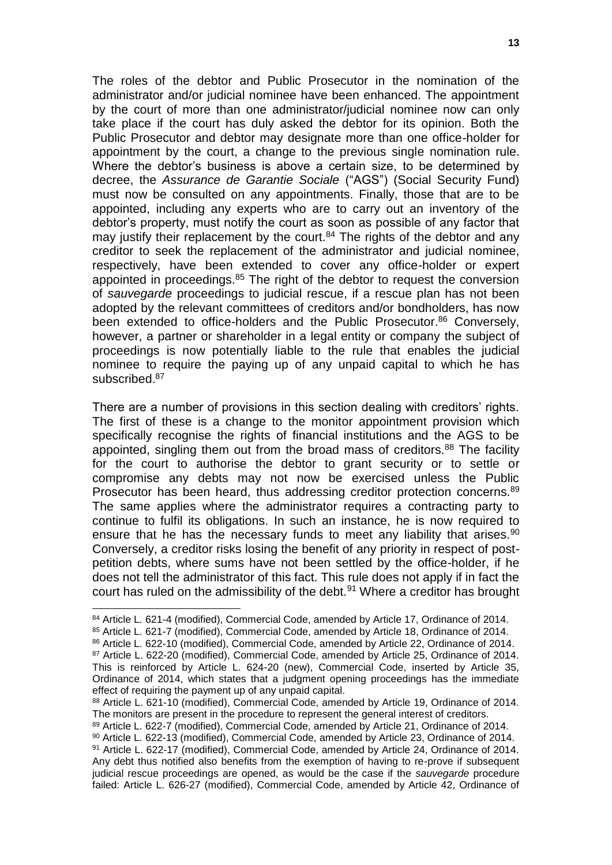The roles of the debtor and Public Prosecutor in the nomination of the administrator and/or judicial nominee have been enhanced. The appointment by the court of more than one administrator/judicial nominee now can only take place if the court has duly asked the debtor for its opinion. Both the Public Prosecutor and debtor may designate more than one office-holder for appointment by the court, a change to the previous single nomination rule. Where the debtor's business is above a certain size, to be determined by decree, the *Assurance de Garantie Sociale* ("AGS") (Social Security Fund) must now be consulted on any appointments. Finally, those that are to be appointed, including any experts who are to carry out an inventory of the debtor's property, must notify the court as soon as possible of any factor that may justify their replacement by the court.<sup>84</sup> The rights of the debtor and any creditor to seek the replacement of the administrator and judicial nominee, respectively, have been extended to cover any office-holder or expert appointed in proceedings.<sup>85</sup> The right of the debtor to request the conversion of *sauvegarde* proceedings to judicial rescue, if a rescue plan has not been adopted by the relevant committees of creditors and/or bondholders, has now been extended to office-holders and the Public Prosecutor.<sup>86</sup> Conversely, however, a partner or shareholder in a legal entity or company the subject of proceedings is now potentially liable to the rule that enables the judicial nominee to require the paying up of any unpaid capital to which he has subscribed.<sup>87</sup>

There are a number of provisions in this section dealing with creditors' rights. The first of these is a change to the monitor appointment provision which specifically recognise the rights of financial institutions and the AGS to be appointed, singling them out from the broad mass of creditors.<sup>88</sup> The facility for the court to authorise the debtor to grant security or to settle or compromise any debts may not now be exercised unless the Public Prosecutor has been heard, thus addressing creditor protection concerns.<sup>89</sup> The same applies where the administrator requires a contracting party to continue to fulfil its obligations. In such an instance, he is now required to ensure that he has the necessary funds to meet any liability that arises.<sup>90</sup> Conversely, a creditor risks losing the benefit of any priority in respect of postpetition debts, where sums have not been settled by the office-holder, if he does not tell the administrator of this fact. This rule does not apply if in fact the court has ruled on the admissibility of the debt.<sup>91</sup> Where a creditor has brought

-

<sup>84</sup> Article L. 621-4 (modified), Commercial Code, amended by Article 17, Ordinance of 2014. <sup>85</sup> Article L. 621-7 (modified), Commercial Code, amended by Article 18, Ordinance of 2014. 86 Article L. 622-10 (modified), Commercial Code, amended by Article 22, Ordinance of 2014. 87 Article L. 622-20 (modified), Commercial Code, amended by Article 25, Ordinance of 2014. This is reinforced by Article L. 624-20 (new), Commercial Code, inserted by Article 35, Ordinance of 2014, which states that a judgment opening proceedings has the immediate effect of requiring the payment up of any unpaid capital.

<sup>88</sup> Article L. 621-10 (modified), Commercial Code, amended by Article 19, Ordinance of 2014. The monitors are present in the procedure to represent the general interest of creditors.

<sup>89</sup> Article L. 622-7 (modified), Commercial Code, amended by Article 21, Ordinance of 2014.

<sup>90</sup> Article L. 622-13 (modified), Commercial Code, amended by Article 23, Ordinance of 2014.

<sup>91</sup> Article L. 622-17 (modified), Commercial Code, amended by Article 24, Ordinance of 2014. Any debt thus notified also benefits from the exemption of having to re-prove if subsequent judicial rescue proceedings are opened, as would be the case if the *sauvegarde* procedure failed: Article L. 626-27 (modified), Commercial Code, amended by Article 42, Ordinance of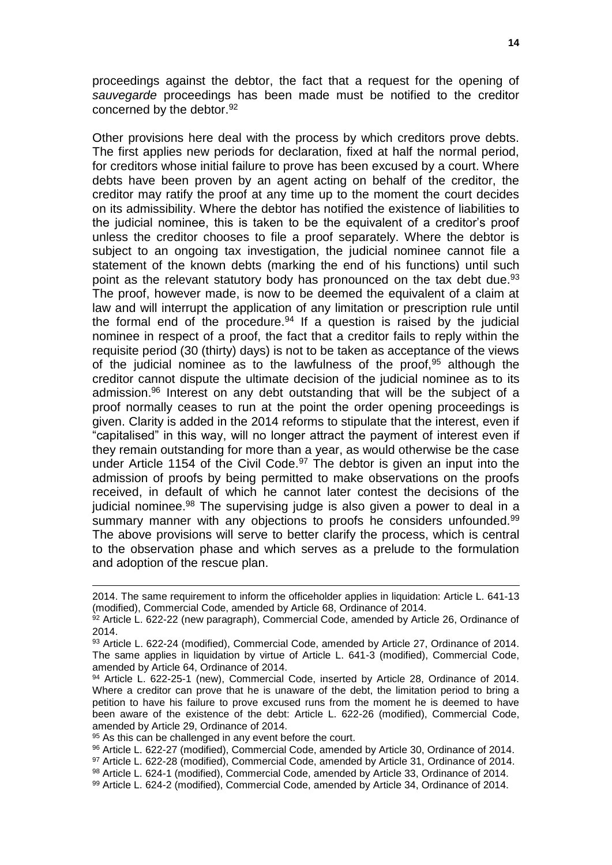proceedings against the debtor, the fact that a request for the opening of *sauvegarde* proceedings has been made must be notified to the creditor concerned by the debtor.<sup>92</sup>

Other provisions here deal with the process by which creditors prove debts. The first applies new periods for declaration, fixed at half the normal period, for creditors whose initial failure to prove has been excused by a court. Where debts have been proven by an agent acting on behalf of the creditor, the creditor may ratify the proof at any time up to the moment the court decides on its admissibility. Where the debtor has notified the existence of liabilities to the judicial nominee, this is taken to be the equivalent of a creditor's proof unless the creditor chooses to file a proof separately. Where the debtor is subject to an ongoing tax investigation, the judicial nominee cannot file a statement of the known debts (marking the end of his functions) until such point as the relevant statutory body has pronounced on the tax debt due.<sup>93</sup> The proof, however made, is now to be deemed the equivalent of a claim at law and will interrupt the application of any limitation or prescription rule until the formal end of the procedure. $94$  If a question is raised by the judicial nominee in respect of a proof, the fact that a creditor fails to reply within the requisite period (30 (thirty) days) is not to be taken as acceptance of the views of the judicial nominee as to the lawfulness of the proof,  $95$  although the creditor cannot dispute the ultimate decision of the judicial nominee as to its admission. <sup>96</sup> Interest on any debt outstanding that will be the subject of a proof normally ceases to run at the point the order opening proceedings is given. Clarity is added in the 2014 reforms to stipulate that the interest, even if "capitalised" in this way, will no longer attract the payment of interest even if they remain outstanding for more than a year, as would otherwise be the case under Article 1154 of the Civil Code.<sup>97</sup> The debtor is given an input into the admission of proofs by being permitted to make observations on the proofs received, in default of which he cannot later contest the decisions of the judicial nominee. $98$  The supervising judge is also given a power to deal in a summary manner with any objections to proofs he considers unfounded.<sup>99</sup> The above provisions will serve to better clarify the process, which is central to the observation phase and which serves as a prelude to the formulation and adoption of the rescue plan.

-

<sup>97</sup> Article L. 622-28 (modified), Commercial Code, amended by Article 31, Ordinance of 2014.

<sup>2014.</sup> The same requirement to inform the officeholder applies in liquidation: Article L. 641-13 (modified), Commercial Code, amended by Article 68, Ordinance of 2014.

<sup>92</sup> Article L. 622-22 (new paragraph), Commercial Code, amended by Article 26, Ordinance of 2014.

<sup>93</sup> Article L. 622-24 (modified), Commercial Code, amended by Article 27, Ordinance of 2014. The same applies in liquidation by virtue of Article L. 641-3 (modified), Commercial Code, amended by Article 64, Ordinance of 2014.

<sup>94</sup> Article L. 622-25-1 (new), Commercial Code, inserted by Article 28, Ordinance of 2014. Where a creditor can prove that he is unaware of the debt, the limitation period to bring a petition to have his failure to prove excused runs from the moment he is deemed to have been aware of the existence of the debt: Article L. 622-26 (modified), Commercial Code, amended by Article 29, Ordinance of 2014.

<sup>&</sup>lt;sup>95</sup> As this can be challenged in any event before the court.

<sup>96</sup> Article L. 622-27 (modified), Commercial Code, amended by Article 30, Ordinance of 2014.

<sup>98</sup> Article L. 624-1 (modified), Commercial Code, amended by Article 33, Ordinance of 2014.

<sup>99</sup> Article L. 624-2 (modified), Commercial Code, amended by Article 34, Ordinance of 2014.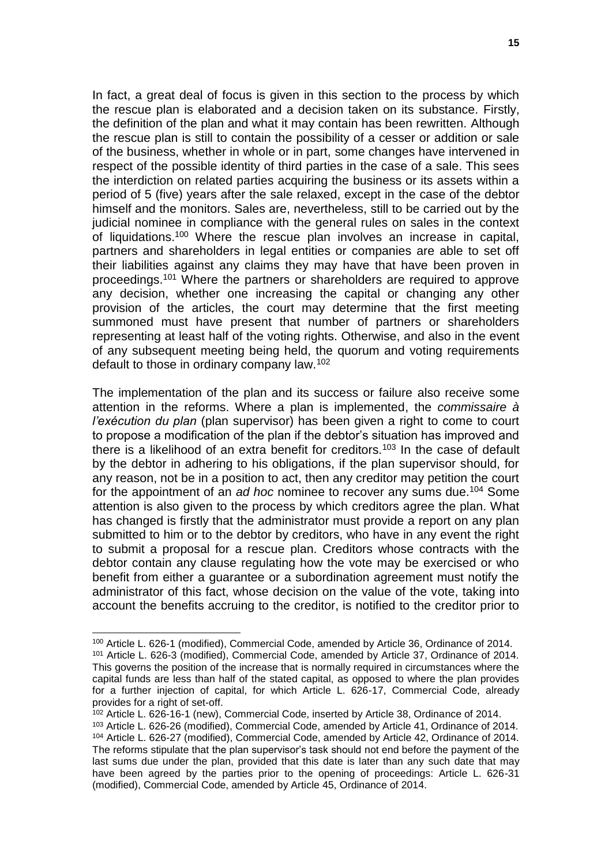In fact, a great deal of focus is given in this section to the process by which the rescue plan is elaborated and a decision taken on its substance. Firstly, the definition of the plan and what it may contain has been rewritten. Although the rescue plan is still to contain the possibility of a cesser or addition or sale of the business, whether in whole or in part, some changes have intervened in respect of the possible identity of third parties in the case of a sale. This sees the interdiction on related parties acquiring the business or its assets within a period of 5 (five) years after the sale relaxed, except in the case of the debtor himself and the monitors. Sales are, nevertheless, still to be carried out by the judicial nominee in compliance with the general rules on sales in the context of liquidations.<sup>100</sup> Where the rescue plan involves an increase in capital, partners and shareholders in legal entities or companies are able to set off their liabilities against any claims they may have that have been proven in proceedings.<sup>101</sup> Where the partners or shareholders are required to approve any decision, whether one increasing the capital or changing any other provision of the articles, the court may determine that the first meeting summoned must have present that number of partners or shareholders representing at least half of the voting rights. Otherwise, and also in the event of any subsequent meeting being held, the quorum and voting requirements default to those in ordinary company law.<sup>102</sup>

The implementation of the plan and its success or failure also receive some attention in the reforms. Where a plan is implemented, the *commissaire à l'exécution du plan* (plan supervisor) has been given a right to come to court to propose a modification of the plan if the debtor's situation has improved and there is a likelihood of an extra benefit for creditors.<sup>103</sup> In the case of default by the debtor in adhering to his obligations, if the plan supervisor should, for any reason, not be in a position to act, then any creditor may petition the court for the appointment of an *ad hoc* nominee to recover any sums due.<sup>104</sup> Some attention is also given to the process by which creditors agree the plan. What has changed is firstly that the administrator must provide a report on any plan submitted to him or to the debtor by creditors, who have in any event the right to submit a proposal for a rescue plan. Creditors whose contracts with the debtor contain any clause regulating how the vote may be exercised or who benefit from either a guarantee or a subordination agreement must notify the administrator of this fact, whose decision on the value of the vote, taking into account the benefits accruing to the creditor, is notified to the creditor prior to

<sup>100</sup> Article L. 626-1 (modified), Commercial Code, amended by Article 36, Ordinance of 2014. <sup>101</sup> Article L. 626-3 (modified), Commercial Code, amended by Article 37, Ordinance of 2014. This governs the position of the increase that is normally required in circumstances where the capital funds are less than half of the stated capital, as opposed to where the plan provides for a further injection of capital, for which Article L. 626-17, Commercial Code, already provides for a right of set-off.

<sup>102</sup> Article L. 626-16-1 (new), Commercial Code, inserted by Article 38, Ordinance of 2014.

<sup>103</sup> Article L. 626-26 (modified), Commercial Code, amended by Article 41, Ordinance of 2014. <sup>104</sup> Article L. 626-27 (modified), Commercial Code, amended by Article 42, Ordinance of 2014. The reforms stipulate that the plan supervisor's task should not end before the payment of the last sums due under the plan, provided that this date is later than any such date that may have been agreed by the parties prior to the opening of proceedings: Article L. 626-31 (modified), Commercial Code, amended by Article 45, Ordinance of 2014.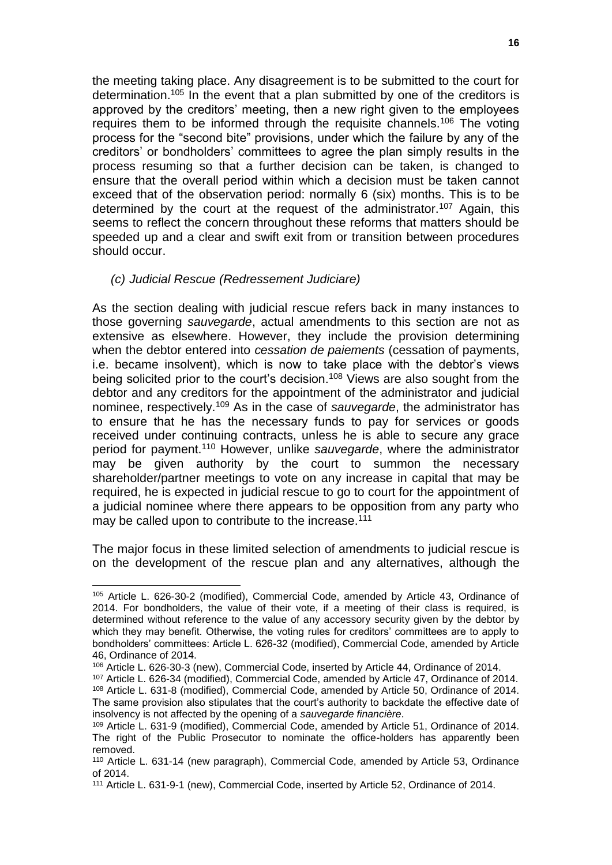the meeting taking place. Any disagreement is to be submitted to the court for determination.<sup>105</sup> In the event that a plan submitted by one of the creditors is approved by the creditors' meeting, then a new right given to the employees requires them to be informed through the requisite channels.<sup>106</sup> The voting process for the "second bite" provisions, under which the failure by any of the creditors' or bondholders' committees to agree the plan simply results in the process resuming so that a further decision can be taken, is changed to ensure that the overall period within which a decision must be taken cannot exceed that of the observation period: normally 6 (six) months. This is to be determined by the court at the request of the administrator.<sup>107</sup> Again, this seems to reflect the concern throughout these reforms that matters should be speeded up and a clear and swift exit from or transition between procedures should occur.

## *(c) Judicial Rescue (Redressement Judiciare)*

-

As the section dealing with judicial rescue refers back in many instances to those governing *sauvegarde*, actual amendments to this section are not as extensive as elsewhere. However, they include the provision determining when the debtor entered into *cessation de paiements* (cessation of payments, i.e. became insolvent), which is now to take place with the debtor's views being solicited prior to the court's decision.<sup>108</sup> Views are also sought from the debtor and any creditors for the appointment of the administrator and judicial nominee, respectively.<sup>109</sup> As in the case of *sauvegarde*, the administrator has to ensure that he has the necessary funds to pay for services or goods received under continuing contracts, unless he is able to secure any grace period for payment.<sup>110</sup> However, unlike *sauvegarde*, where the administrator may be given authority by the court to summon the necessary shareholder/partner meetings to vote on any increase in capital that may be required, he is expected in judicial rescue to go to court for the appointment of a judicial nominee where there appears to be opposition from any party who may be called upon to contribute to the increase.<sup>111</sup>

The major focus in these limited selection of amendments to judicial rescue is on the development of the rescue plan and any alternatives, although the

<sup>105</sup> Article L. 626-30-2 (modified), Commercial Code, amended by Article 43, Ordinance of 2014. For bondholders, the value of their vote, if a meeting of their class is required, is determined without reference to the value of any accessory security given by the debtor by which they may benefit. Otherwise, the voting rules for creditors' committees are to apply to bondholders' committees: Article L. 626-32 (modified), Commercial Code, amended by Article 46, Ordinance of 2014.

<sup>106</sup> Article L. 626-30-3 (new), Commercial Code, inserted by Article 44, Ordinance of 2014.

<sup>107</sup> Article L. 626-34 (modified), Commercial Code, amended by Article 47, Ordinance of 2014. <sup>108</sup> Article L. 631-8 (modified), Commercial Code, amended by Article 50, Ordinance of 2014. The same provision also stipulates that the court's authority to backdate the effective date of insolvency is not affected by the opening of a *sauvegarde financière*.

<sup>109</sup> Article L. 631-9 (modified), Commercial Code, amended by Article 51, Ordinance of 2014. The right of the Public Prosecutor to nominate the office-holders has apparently been removed.

<sup>110</sup> Article L. 631-14 (new paragraph), Commercial Code, amended by Article 53, Ordinance of 2014.

<sup>111</sup> Article L. 631-9-1 (new), Commercial Code, inserted by Article 52, Ordinance of 2014.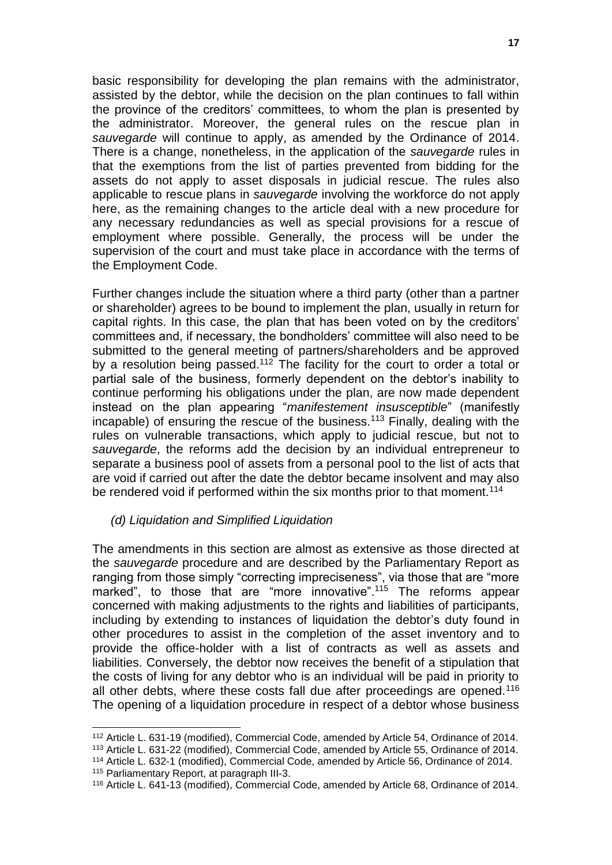basic responsibility for developing the plan remains with the administrator, assisted by the debtor, while the decision on the plan continues to fall within the province of the creditors' committees, to whom the plan is presented by the administrator. Moreover, the general rules on the rescue plan in *sauvegarde* will continue to apply, as amended by the Ordinance of 2014. There is a change, nonetheless, in the application of the *sauvegarde* rules in that the exemptions from the list of parties prevented from bidding for the assets do not apply to asset disposals in judicial rescue. The rules also applicable to rescue plans in *sauvegarde* involving the workforce do not apply here, as the remaining changes to the article deal with a new procedure for any necessary redundancies as well as special provisions for a rescue of employment where possible. Generally, the process will be under the supervision of the court and must take place in accordance with the terms of the Employment Code.

Further changes include the situation where a third party (other than a partner or shareholder) agrees to be bound to implement the plan, usually in return for capital rights. In this case, the plan that has been voted on by the creditors' committees and, if necessary, the bondholders' committee will also need to be submitted to the general meeting of partners/shareholders and be approved by a resolution being passed.<sup>112</sup> The facility for the court to order a total or partial sale of the business, formerly dependent on the debtor's inability to continue performing his obligations under the plan, are now made dependent instead on the plan appearing "*manifestement insusceptible*" (manifestly incapable) of ensuring the rescue of the business.<sup>113</sup> Finally, dealing with the rules on vulnerable transactions, which apply to judicial rescue, but not to *sauvegarde*, the reforms add the decision by an individual entrepreneur to separate a business pool of assets from a personal pool to the list of acts that are void if carried out after the date the debtor became insolvent and may also be rendered void if performed within the six months prior to that moment.<sup>114</sup>

# *(d) Liquidation and Simplified Liquidation*

l

The amendments in this section are almost as extensive as those directed at the *sauvegarde* procedure and are described by the Parliamentary Report as ranging from those simply "correcting impreciseness", via those that are "more marked", to those that are "more innovative".<sup>115</sup> The reforms appear concerned with making adjustments to the rights and liabilities of participants, including by extending to instances of liquidation the debtor's duty found in other procedures to assist in the completion of the asset inventory and to provide the office-holder with a list of contracts as well as assets and liabilities. Conversely, the debtor now receives the benefit of a stipulation that the costs of living for any debtor who is an individual will be paid in priority to all other debts, where these costs fall due after proceedings are opened.<sup>116</sup> The opening of a liquidation procedure in respect of a debtor whose business

<sup>113</sup> Article L. 631-22 (modified), Commercial Code, amended by Article 55, Ordinance of 2014. <sup>114</sup> Article L. 632-1 (modified), Commercial Code, amended by Article 56, Ordinance of 2014. <sup>115</sup> Parliamentary Report, at paragraph III-3.

<sup>112</sup> Article L. 631-19 (modified), Commercial Code, amended by Article 54, Ordinance of 2014.

<sup>116</sup> Article L. 641-13 (modified), Commercial Code, amended by Article 68, Ordinance of 2014.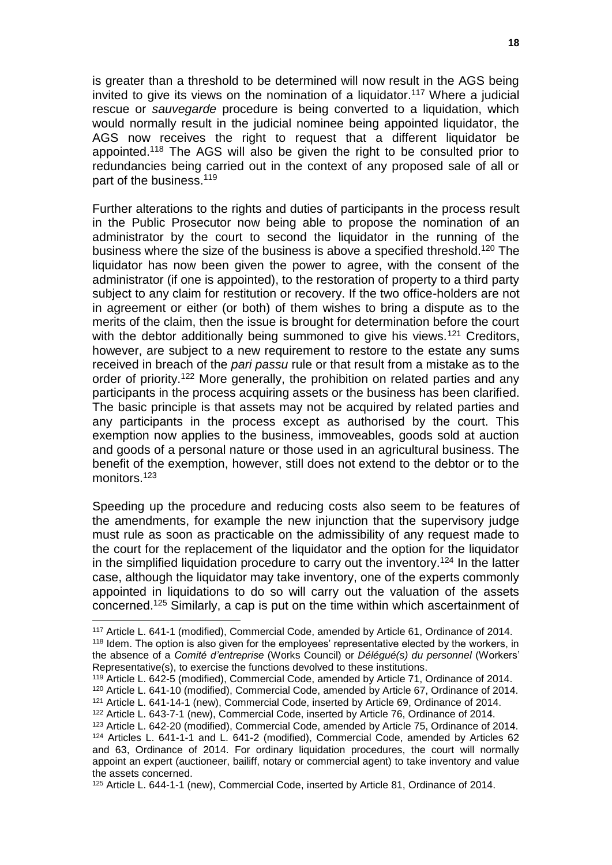is greater than a threshold to be determined will now result in the AGS being invited to give its views on the nomination of a liquidator.<sup>117</sup> Where a judicial rescue or *sauvegarde* procedure is being converted to a liquidation, which would normally result in the judicial nominee being appointed liquidator, the AGS now receives the right to request that a different liquidator be appointed.<sup>118</sup> The AGS will also be given the right to be consulted prior to redundancies being carried out in the context of any proposed sale of all or part of the business.<sup>119</sup>

Further alterations to the rights and duties of participants in the process result in the Public Prosecutor now being able to propose the nomination of an administrator by the court to second the liquidator in the running of the business where the size of the business is above a specified threshold.<sup>120</sup> The liquidator has now been given the power to agree, with the consent of the administrator (if one is appointed), to the restoration of property to a third party subject to any claim for restitution or recovery. If the two office-holders are not in agreement or either (or both) of them wishes to bring a dispute as to the merits of the claim, then the issue is brought for determination before the court with the debtor additionally being summoned to give his views.<sup>121</sup> Creditors, however, are subject to a new requirement to restore to the estate any sums received in breach of the *pari passu* rule or that result from a mistake as to the order of priority.<sup>122</sup> More generally, the prohibition on related parties and any participants in the process acquiring assets or the business has been clarified. The basic principle is that assets may not be acquired by related parties and any participants in the process except as authorised by the court. This exemption now applies to the business, immoveables, goods sold at auction and goods of a personal nature or those used in an agricultural business. The benefit of the exemption, however, still does not extend to the debtor or to the monitors.<sup>123</sup>

Speeding up the procedure and reducing costs also seem to be features of the amendments, for example the new injunction that the supervisory judge must rule as soon as practicable on the admissibility of any request made to the court for the replacement of the liquidator and the option for the liquidator in the simplified liquidation procedure to carry out the inventory.<sup>124</sup> In the latter case, although the liquidator may take inventory, one of the experts commonly appointed in liquidations to do so will carry out the valuation of the assets concerned.<sup>125</sup> Similarly, a cap is put on the time within which ascertainment of

<sup>117</sup> Article L. 641-1 (modified), Commercial Code, amended by Article 61, Ordinance of 2014. <sup>118</sup> Idem. The option is also given for the employees' representative elected by the workers, in the absence of a *Comité d'entreprise* (Works Council) or *Délégué(s) du personnel* (Workers' Representative(s), to exercise the functions devolved to these institutions.

<sup>119</sup> Article L. 642-5 (modified), Commercial Code, amended by Article 71, Ordinance of 2014.

<sup>120</sup> Article L. 641-10 (modified), Commercial Code, amended by Article 67, Ordinance of 2014. <sup>121</sup> Article L. 641-14-1 (new), Commercial Code, inserted by Article 69, Ordinance of 2014.

<sup>122</sup> Article L. 643-7-1 (new), Commercial Code, inserted by Article 76, Ordinance of 2014.

<sup>123</sup> Article L. 642-20 (modified), Commercial Code, amended by Article 75, Ordinance of 2014.

<sup>124</sup> Articles L. 641-1-1 and L. 641-2 (modified), Commercial Code, amended by Articles 62 and 63, Ordinance of 2014. For ordinary liquidation procedures, the court will normally appoint an expert (auctioneer, bailiff, notary or commercial agent) to take inventory and value the assets concerned.

<sup>125</sup> Article L. 644-1-1 (new), Commercial Code, inserted by Article 81, Ordinance of 2014.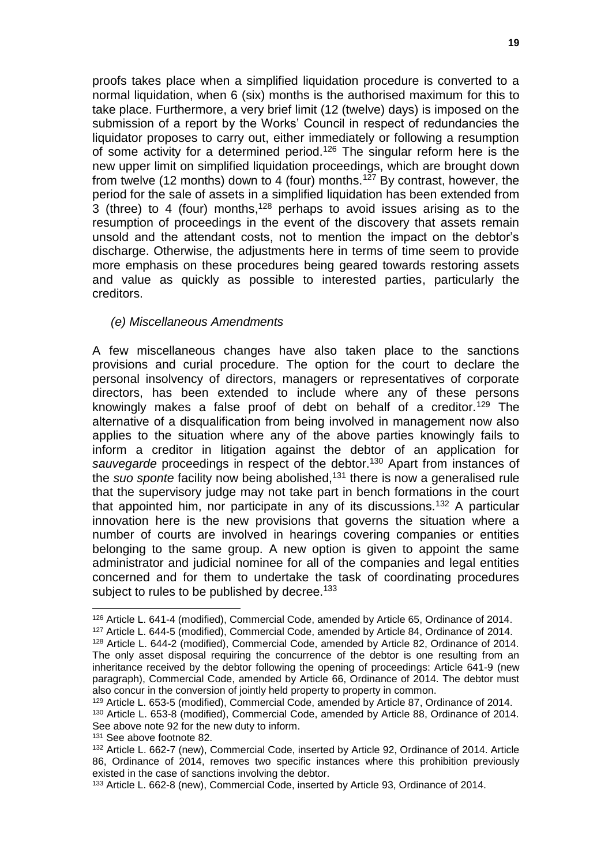proofs takes place when a simplified liquidation procedure is converted to a normal liquidation, when 6 (six) months is the authorised maximum for this to take place. Furthermore, a very brief limit (12 (twelve) days) is imposed on the submission of a report by the Works' Council in respect of redundancies the liquidator proposes to carry out, either immediately or following a resumption of some activity for a determined period.<sup>126</sup> The singular reform here is the new upper limit on simplified liquidation proceedings, which are brought down from twelve (12 months) down to 4 (four) months.<sup>127</sup> By contrast, however, the period for the sale of assets in a simplified liquidation has been extended from 3 (three) to 4 (four) months,<sup>128</sup> perhaps to avoid issues arising as to the resumption of proceedings in the event of the discovery that assets remain unsold and the attendant costs, not to mention the impact on the debtor's discharge. Otherwise, the adjustments here in terms of time seem to provide more emphasis on these procedures being geared towards restoring assets and value as quickly as possible to interested parties, particularly the creditors.

## *(e) Miscellaneous Amendments*

A few miscellaneous changes have also taken place to the sanctions provisions and curial procedure. The option for the court to declare the personal insolvency of directors, managers or representatives of corporate directors, has been extended to include where any of these persons knowingly makes a false proof of debt on behalf of a creditor.<sup>129</sup> The alternative of a disqualification from being involved in management now also applies to the situation where any of the above parties knowingly fails to inform a creditor in litigation against the debtor of an application for *sauvegarde* proceedings in respect of the debtor.<sup>130</sup> Apart from instances of the *suo sponte* facility now being abolished,<sup>131</sup> there is now a generalised rule that the supervisory judge may not take part in bench formations in the court that appointed him, nor participate in any of its discussions.<sup>132</sup> A particular innovation here is the new provisions that governs the situation where a number of courts are involved in hearings covering companies or entities belonging to the same group. A new option is given to appoint the same administrator and judicial nominee for all of the companies and legal entities concerned and for them to undertake the task of coordinating procedures subject to rules to be published by decree.<sup>133</sup>

-

<sup>126</sup> Article L. 641-4 (modified), Commercial Code, amended by Article 65, Ordinance of 2014. <sup>127</sup> Article L. 644-5 (modified), Commercial Code, amended by Article 84, Ordinance of 2014. <sup>128</sup> Article L. 644-2 (modified), Commercial Code, amended by Article 82, Ordinance of 2014. The only asset disposal requiring the concurrence of the debtor is one resulting from an inheritance received by the debtor following the opening of proceedings: Article 641-9 (new paragraph), Commercial Code, amended by Article 66, Ordinance of 2014. The debtor must also concur in the conversion of jointly held property to property in common.

<sup>129</sup> Article L. 653-5 (modified), Commercial Code, amended by Article 87, Ordinance of 2014. <sup>130</sup> Article L. 653-8 (modified), Commercial Code, amended by Article 88, Ordinance of 2014. See above note 92 for the new duty to inform.

<sup>131</sup> See above footnote 82.

<sup>132</sup> Article L. 662-7 (new), Commercial Code, inserted by Article 92, Ordinance of 2014. Article 86, Ordinance of 2014, removes two specific instances where this prohibition previously existed in the case of sanctions involving the debtor.

<sup>133</sup> Article L. 662-8 (new), Commercial Code, inserted by Article 93, Ordinance of 2014.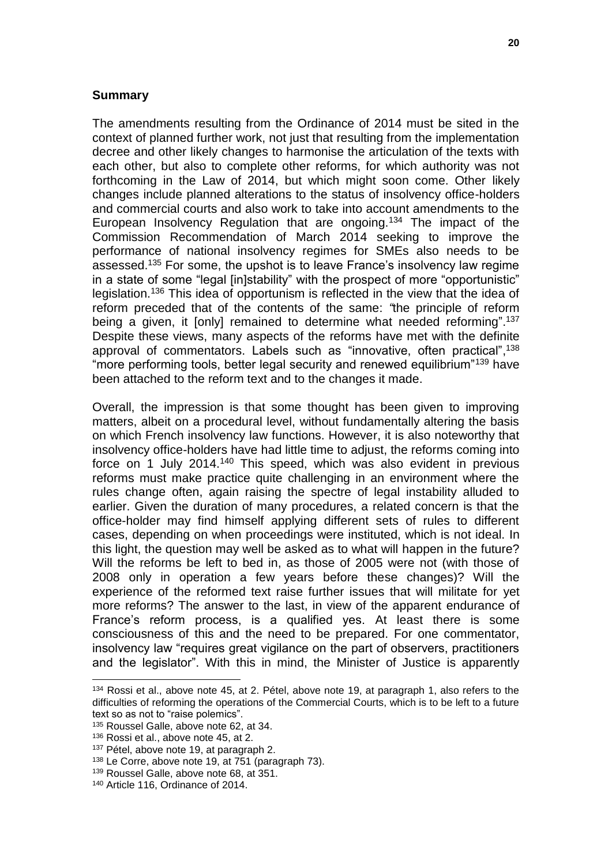#### **Summary**

The amendments resulting from the Ordinance of 2014 must be sited in the context of planned further work, not just that resulting from the implementation decree and other likely changes to harmonise the articulation of the texts with each other, but also to complete other reforms, for which authority was not forthcoming in the Law of 2014, but which might soon come. Other likely changes include planned alterations to the status of insolvency office-holders and commercial courts and also work to take into account amendments to the European Insolvency Regulation that are ongoing.<sup>134</sup> The impact of the Commission Recommendation of March 2014 seeking to improve the performance of national insolvency regimes for SMEs also needs to be assessed.<sup>135</sup> For some, the upshot is to leave France's insolvency law regime in a state of some "legal [in]stability" with the prospect of more "opportunistic" legislation.<sup>136</sup> This idea of opportunism is reflected in the view that the idea of reform preceded that of the contents of the same: *"*the principle of reform being a given, it [only] remained to determine what needed reforming".<sup>137</sup> Despite these views, many aspects of the reforms have met with the definite approval of commentators. Labels such as "innovative, often practical", 138 "more performing tools, better legal security and renewed equilibrium<sup>"139</sup> have been attached to the reform text and to the changes it made.

Overall, the impression is that some thought has been given to improving matters, albeit on a procedural level, without fundamentally altering the basis on which French insolvency law functions. However, it is also noteworthy that insolvency office-holders have had little time to adjust, the reforms coming into force on 1 July 2014.<sup>140</sup> This speed, which was also evident in previous reforms must make practice quite challenging in an environment where the rules change often, again raising the spectre of legal instability alluded to earlier. Given the duration of many procedures, a related concern is that the office-holder may find himself applying different sets of rules to different cases, depending on when proceedings were instituted, which is not ideal. In this light, the question may well be asked as to what will happen in the future? Will the reforms be left to bed in, as those of 2005 were not (with those of 2008 only in operation a few years before these changes)? Will the experience of the reformed text raise further issues that will militate for yet more reforms? The answer to the last, in view of the apparent endurance of France's reform process, is a qualified yes. At least there is some consciousness of this and the need to be prepared. For one commentator, insolvency law "requires great vigilance on the part of observers, practitioners and the legislator". With this in mind, the Minister of Justice is apparently

<sup>&</sup>lt;sup>134</sup> Rossi et al., above note 45, at 2. Pétel, above note 19, at paragraph 1, also refers to the difficulties of reforming the operations of the Commercial Courts, which is to be left to a future text so as not to "raise polemics".

<sup>135</sup> Roussel Galle, above note 62, at 34.

<sup>&</sup>lt;sup>136</sup> Rossi et al., above note 45, at 2.

<sup>&</sup>lt;sup>137</sup> Pétel, above note 19, at paragraph 2.

<sup>138</sup> Le Corre, above note 19, at 751 (paragraph 73).

<sup>139</sup> Roussel Galle, above note 68, at 351.

<sup>140</sup> Article 116, Ordinance of 2014.